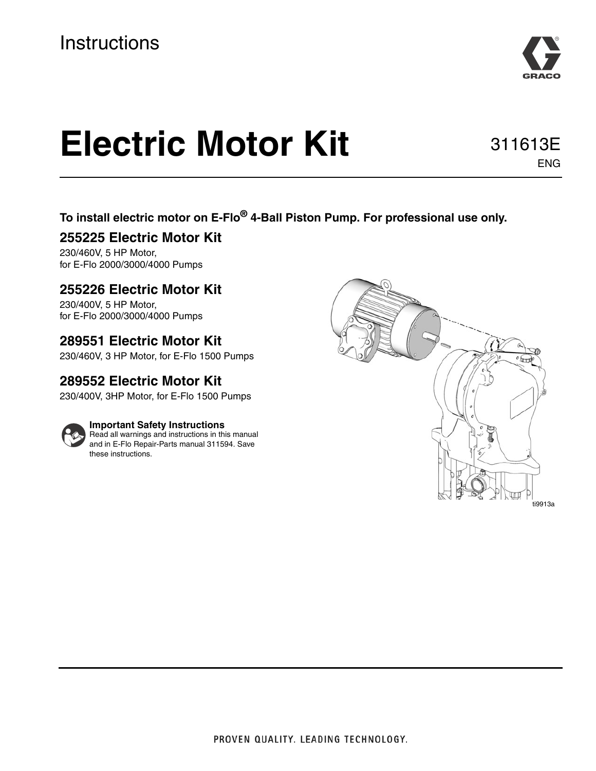

# **Electric Motor Kit**

311613E ENG

## **To install electric motor on E-Flo® 4-Ball Piston Pump. For professional use only.**

### **255225 Electric Motor Kit**

230/460V, 5 HP Motor, for E-Flo 2000/3000/4000 Pumps

### **255226 Electric Motor Kit**

230/400V, 5 HP Motor, for E-Flo 2000/3000/4000 Pumps

### **289551 Electric Motor Kit**

230/460V, 3 HP Motor, for E-Flo 1500 Pumps

## **289552 Electric Motor Kit**

230/400V, 3HP Motor, for E-Flo 1500 Pumps



#### **Important Safety Instructions**

Read all warnings and instructions in this manual and in E-Flo Repair-Parts manual 311594. Save these instructions.

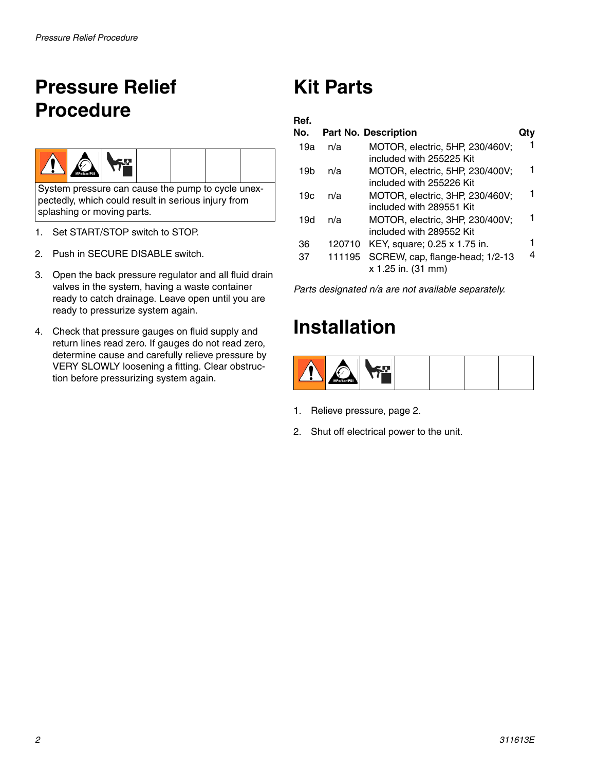# <span id="page-1-0"></span>**Pressure Relief Procedure**



System pressure can cause the pump to cycle unexpectedly, which could result in serious injury from splashing or moving parts.

- 1. Set START/STOP switch to STOP.
- 2. Push in SECURE DISABLE switch.
- 3. Open the back pressure regulator and all fluid drain valves in the system, having a waste container ready to catch drainage. Leave open until you are ready to pressurize system again.
- 4. Check that pressure gauges on fluid supply and return lines read zero. If gauges do not read zero, determine cause and carefully relieve pressure by VERY SLOWLY loosening a fitting. Clear obstruction before pressurizing system again.

# **Kit Parts**

#### **Ref.**

| No. |        | <b>Part No. Description</b>                                 |  |
|-----|--------|-------------------------------------------------------------|--|
| 19a | n/a    | MOTOR, electric, 5HP, 230/460V;<br>included with 255225 Kit |  |
| 19b | n/a    | MOTOR, electric, 5HP, 230/400V;<br>included with 255226 Kit |  |
| 19c | n/a    | MOTOR, electric, 3HP, 230/460V:<br>included with 289551 Kit |  |
| 19d | n/a    | MOTOR, electric, 3HP, 230/400V;<br>included with 289552 Kit |  |
| 36  | 120710 | KEY, square; 0.25 x 1.75 in.                                |  |
| 37  | 111195 | SCREW, cap, flange-head; 1/2-13<br>x 1.25 in. (31 mm)       |  |

*Parts designated n/a are not available separately.*

# **Installation**



- 1. Relieve pressure, page [2.](#page-1-0)
- 2. Shut off electrical power to the unit.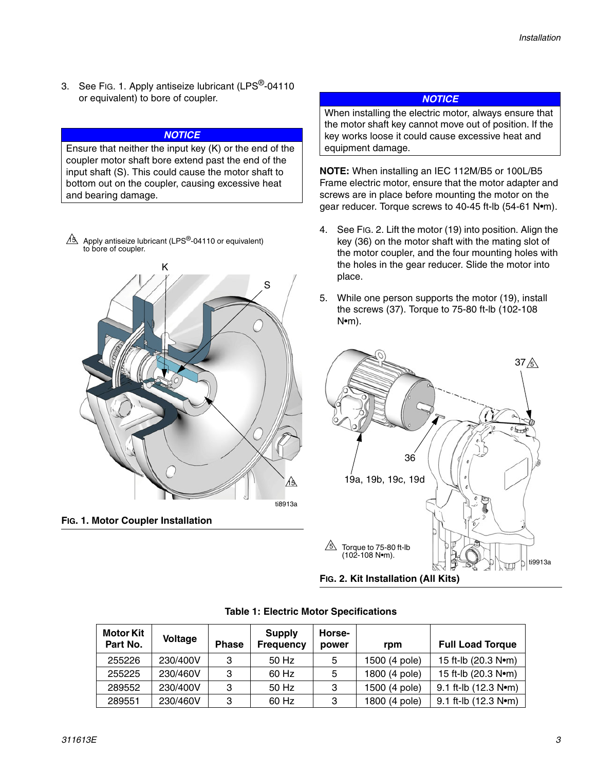3. See FIG. 1. Apply antiseize lubricant (LPS<sup>®</sup>-04110) or equivalent) to bore of coupler.

#### *NOTICE*

Ensure that neither the input key (K) or the end of the coupler motor shaft bore extend past the end of the input shaft (S). This could cause the motor shaft to bottom out on the coupler, causing excessive heat and bearing damage.

 $48$  Apply antiseize lubricant (LPS<sup>®</sup>-04110 or equivalent) to bore of coupler.





#### *NOTICE*

When installing the electric motor, always ensure that the motor shaft key cannot move out of position. If the key works loose it could cause excessive heat and equipment damage.

**NOTE:** When installing an IEC 112M/B5 or 100L/B5 Frame electric motor, ensure that the motor adapter and screws are in place before mounting the motor on the gear reducer. Torque screws to 40-45 ft-lb (54-61 N•m).

- 4. See [FIG. 2.](#page-2-0) Lift the motor (19) into position. Align the key (36) on the motor shaft with the mating slot of the motor coupler, and the four mounting holes with the holes in the gear reducer. Slide the motor into place.
- 5. While one person supports the motor (19), install the screws (37). Torque to 75-80 ft-lb (102-108 N•m).



| <b>Motor Kit</b><br>Part No. | <b>Voltage</b> | <b>Phase</b> | <b>Supply</b><br><b>Frequency</b> | Horse-<br>power | rpm           | <b>Full Load Torque</b>                     |
|------------------------------|----------------|--------------|-----------------------------------|-----------------|---------------|---------------------------------------------|
| 255226                       | 230/400V       | 3            | 50 Hz                             | 5               | 1500 (4 pole) | 15 ft-lb (20.3 N•m)                         |
| 255225                       | 230/460V       | 3            | 60 Hz                             | 5               | 1800 (4 pole) | 15 ft-lb $(20.3 Nem)$                       |
| 289552                       | 230/400V       | 3            | 50 Hz                             | 3               | 1500 (4 pole) | 9.1 ft-lb $(12.3 \text{ N} \cdot \text{m})$ |
| 289551                       | 230/460V       | 3            | 60 Hz                             | 3               | 1800 (4 pole) | 9.1 ft-lb (12.3 Nom)                        |

#### <span id="page-2-0"></span>**Table 1: Electric Motor Specifications**